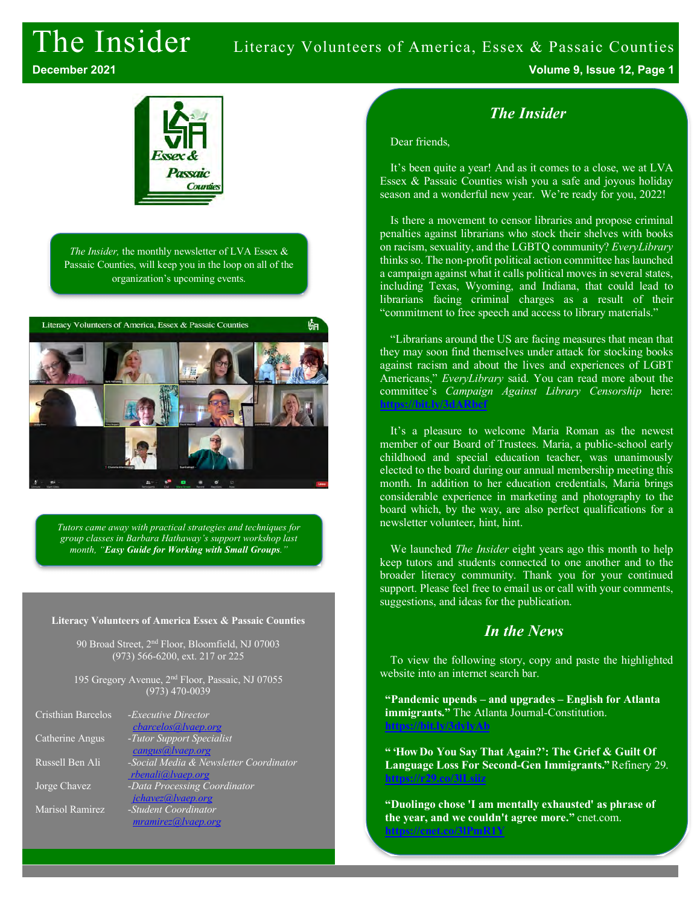# The Insider Literacy Volunteers of America, Essex & Passaic Counties



*The Insider,* the monthly newsletter of LVA Essex & Passaic Counties, will keep you in the loop on all of the organization's upcoming events.



*Tutors came away with practical strategies and techniques for group classes in Barbara Hathaway's support workshop last month, "Easy Guide for Working with Small Groups."*

#### **Literacy Volunteers of America Essex & Passaic Counties**

90 Broad Street, 2nd Floor, Bloomfield, NJ 07003 (973) 566-6200, ext. 217 or 225

195 Gregory Avenue, 2<sup>nd</sup> Floor, Passaic, NJ 07055 (973) 470-0039

| - <i>Executive Director</i>            |
|----------------------------------------|
| cbarcelos@lvaep.org                    |
| -Tutor Support Specialist              |
| cangus@lvaep.org                       |
| -Social Media & Newsletter Coordinator |
| rbenali@lvaep.org                      |
| -Data Processing Coordinator           |
| jchavez@lvaep.org                      |
| -Student Coordinator                   |
| mramirez@ vaep.org                     |
|                                        |

**December 2021 Volume 9, Issue 12, Page 1**

### *The Insider*

#### Dear friends,

It's been quite a year! And as it comes to a close, we at LVA Essex & Passaic Counties wish you a safe and joyous holiday season and a wonderful new year. We're ready for you, 2022!

Is there a movement to censor libraries and propose criminal penalties against librarians who stock their shelves with books on racism, sexuality, and the LGBTQ community? *EveryLibrary* thinks so. The non-profit political action committee has launched a campaign against what it calls political moves in several states, including Texas, Wyoming, and Indiana, that could lead to librarians facing criminal charges as a result of their "commitment to free speech and access to library materials."

"Librarians around the US are facing measures that mean that they may soon find themselves under attack for stocking books against racism and about the lives and experiences of LGBT Americans," *EveryLibrary* said. You can read more about the committee's *Campaign Against Library Censorship* here: **https://bit.ly/3** 

It's a pleasure to welcome Maria Roman as the newest member of our Board of Trustees. Maria, a public-school early childhood and special education teacher, was unanimously elected to the board during our annual membership meeting this month. In addition to her education credentials, Maria brings considerable experience in marketing and photography to the board which, by the way, are also perfect qualifications for a newsletter volunteer, hint, hint.

We launched *The Insider* eight years ago this month to help keep tutors and students connected to one another and to the broader literacy community. Thank you for your continued support. Please feel free to email us or call with your comments, suggestions, and ideas for the publication.

### *In the News*

To view the following story, copy and paste the highlighted website into an internet search bar.

**"Pandemic upends – and upgrades – English for Atlanta immigrants."** The Atlanta Journal-Constitution. **https://bit.ly/3dylyAb**

**" 'How Do You Say That Again?': The Grief & Guilt Of Language Loss For Second-Gen Immigrants."** Refinery 29. **https://r29.co/3lLsiiz**

**"Duolingo chose 'I am mentally exhausted' as phrase of the year, and we couldn't agree more."** cnet.com. **https://cnet.co/3lPmR1Y**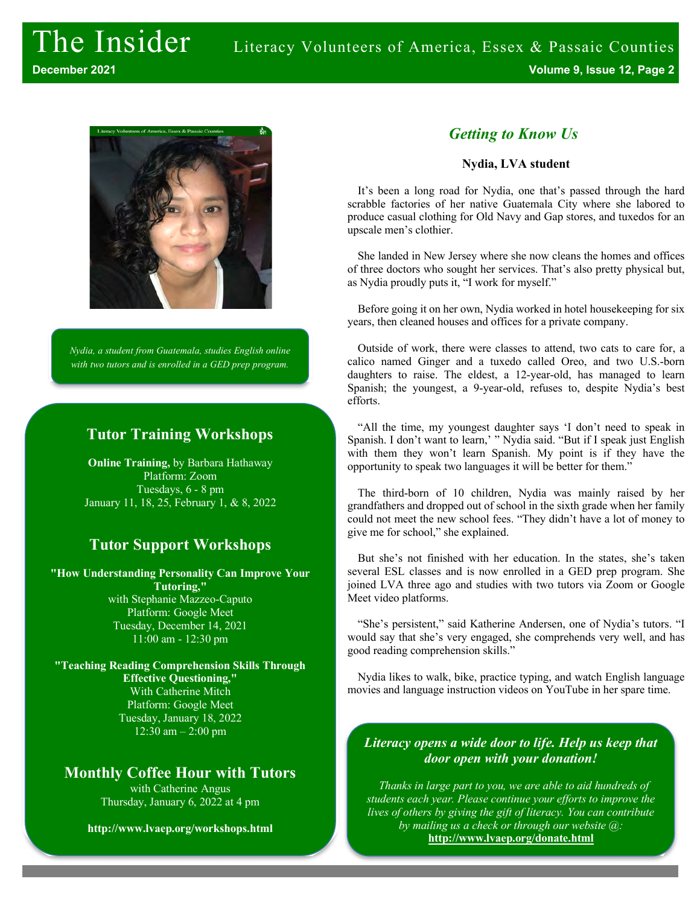

*Nydia, a student from Guatemala, studies English online with two tutors and is enrolled in a GED prep program.* 

#### **Tutor Training Workshops**

**Online Training,** by Barbara Hathaway Platform: Zoom Tuesdays, 6 - 8 pm January 11, 18, 25, February 1, & 8, 2022

# **Tutor Support Workshops**

**"How Understanding Personality Can Improve Your Tutoring,"** with Stephanie Mazzeo-Caputo Platform: Google Meet Tuesday, December 14, 2021 11:00 am - 12:30 pm

**"Teaching Reading Comprehension Skills Through Effective Questioning,"** With Catherine Mitch Platform: Google Meet Tuesday, January 18, 2022 12:30 am – 2:00 pm

#### **Monthly Coffee Hour with Tutors**

with Catherine Angus Thursday, January 6, 2022 at 4 pm

**http://www.lvaep.org/workshops.html**

# *Getting to Know Us*

#### **Nydia, LVA student**

It's been a long road for Nydia, one that's passed through the hard scrabble factories of her native Guatemala City where she labored to produce casual clothing for Old Navy and Gap stores, and tuxedos for an upscale men's clothier.

She landed in New Jersey where she now cleans the homes and offices of three doctors who sought her services. That's also pretty physical but, as Nydia proudly puts it, "I work for myself."

Before going it on her own, Nydia worked in hotel housekeeping for six years, then cleaned houses and offices for a private company.

Outside of work, there were classes to attend, two cats to care for, a calico named Ginger and a tuxedo called Oreo, and two U.S.-born daughters to raise. The eldest, a 12-year-old, has managed to learn Spanish; the youngest, a 9-year-old, refuses to, despite Nydia's best efforts.

"All the time, my youngest daughter says 'I don't need to speak in Spanish. I don't want to learn,' " Nydia said. "But if I speak just English with them they won't learn Spanish. My point is if they have the opportunity to speak two languages it will be better for them."

The third-born of 10 children, Nydia was mainly raised by her grandfathers and dropped out of school in the sixth grade when her family could not meet the new school fees. "They didn't have a lot of money to give me for school," she explained.

But she's not finished with her education. In the states, she's taken several ESL classes and is now enrolled in a GED prep program. She joined LVA three ago and studies with two tutors via Zoom or Google Meet video platforms.

"She's persistent," said Katherine Andersen, one of Nydia's tutors. "I would say that she's very engaged, she comprehends very well, and has good reading comprehension skills."

Nydia likes to walk, bike, practice typing, and watch English language movies and language instruction videos on YouTube in her spare time.

#### *Literacy opens a wide door to life. Help us keep that door open with your donation!*

*Thanks in large part to you, we are able to aid hundreds of students each year. Please continue your efforts to improve the lives of others by giving the gift of literacy. You can contribute by mailing us a check or through our website @:* **http://www.lvaep.org/donate.html**

*or by mailing us a check.*